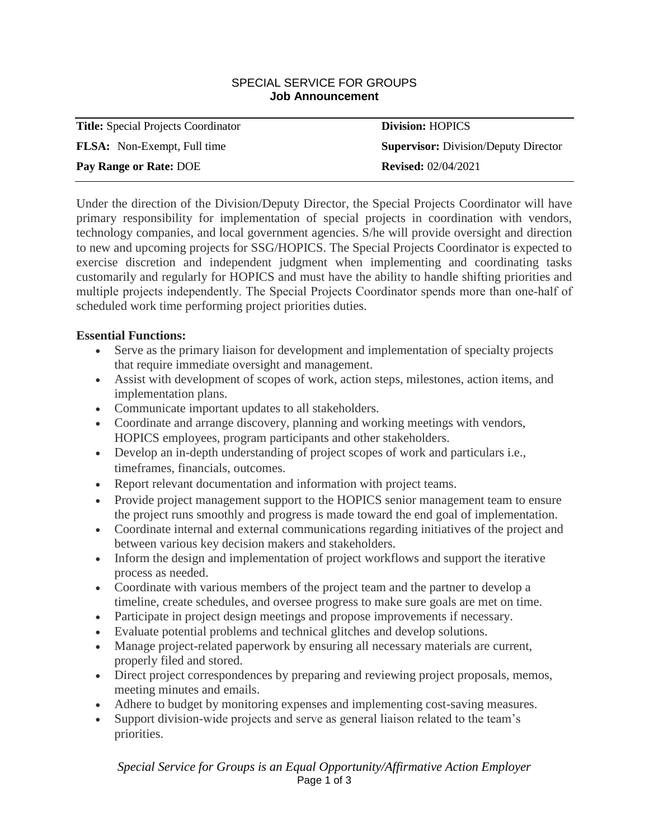#### SPECIAL SERVICE FOR GROUPS **Job Announcement**

| <b>Title:</b> Special Projects Coordinator | <b>Division: HOPICS</b>                     |
|--------------------------------------------|---------------------------------------------|
| <b>FLSA:</b> Non-Exempt, Full time         | <b>Supervisor:</b> Division/Deputy Director |
| Pay Range or Rate: DOE                     | <b>Revised:</b> 02/04/2021                  |

Under the direction of the Division/Deputy Director, the Special Projects Coordinator will have primary responsibility for implementation of special projects in coordination with vendors, technology companies, and local government agencies. S/he will provide oversight and direction to new and upcoming projects for SSG/HOPICS. The Special Projects Coordinator is expected to exercise discretion and independent judgment when implementing and coordinating tasks customarily and regularly for HOPICS and must have the ability to handle shifting priorities and multiple projects independently. The Special Projects Coordinator spends more than one‐half of scheduled work time performing project priorities duties.

## **Essential Functions:**

- Serve as the primary liaison for development and implementation of specialty projects that require immediate oversight and management.
- Assist with development of scopes of work, action steps, milestones, action items, and implementation plans.
- Communicate important updates to all stakeholders.
- Coordinate and arrange discovery, planning and working meetings with vendors, HOPICS employees, program participants and other stakeholders.
- Develop an in-depth understanding of project scopes of work and particulars i.e., timeframes, financials, outcomes.
- Report relevant documentation and information with project teams.
- Provide project management support to the HOPICS senior management team to ensure the project runs smoothly and progress is made toward the end goal of implementation.
- Coordinate internal and external communications regarding initiatives of the project and between various key decision makers and stakeholders.
- Inform the design and implementation of project workflows and support the iterative process as needed.
- Coordinate with various members of the project team and the partner to develop a timeline, create schedules, and oversee progress to make sure goals are met on time.
- Participate in project design meetings and propose improvements if necessary.
- Evaluate potential problems and technical glitches and develop solutions.
- Manage project-related paperwork by ensuring all necessary materials are current, properly filed and stored.
- Direct project correspondences by preparing and reviewing project proposals, memos, meeting minutes and emails.
- Adhere to budget by monitoring expenses and implementing cost-saving measures.
- Support division-wide projects and serve as general liaison related to the team's priorities.

*Special Service for Groups is an Equal Opportunity/Affirmative Action Employer* Page 1 of 3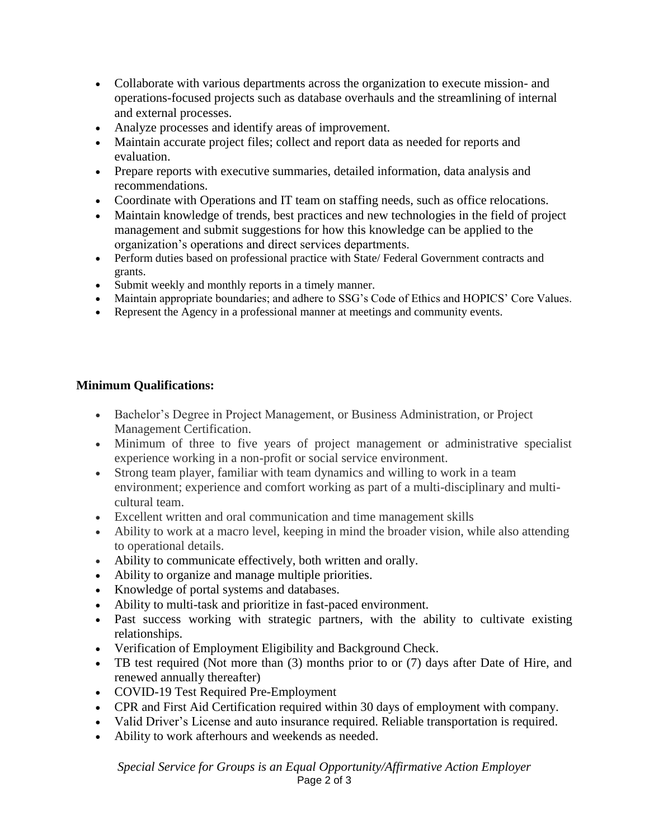- Collaborate with various departments across the organization to execute mission- and operations-focused projects such as database overhauls and the streamlining of internal and external processes.
- Analyze processes and identify areas of improvement.
- Maintain accurate project files; collect and report data as needed for reports and evaluation.
- Prepare reports with executive summaries, detailed information, data analysis and recommendations.
- Coordinate with Operations and IT team on staffing needs, such as office relocations.
- Maintain knowledge of trends, best practices and new technologies in the field of project management and submit suggestions for how this knowledge can be applied to the organization's operations and direct services departments.
- Perform duties based on professional practice with State/ Federal Government contracts and grants.
- Submit weekly and monthly reports in a timely manner.
- Maintain appropriate boundaries; and adhere to SSG's Code of Ethics and HOPICS' Core Values.
- Represent the Agency in a professional manner at meetings and community events.

# **Minimum Qualifications:**

- Bachelor's Degree in Project Management, or Business Administration, or Project Management Certification.
- Minimum of three to five years of project management or administrative specialist experience working in a non-profit or social service environment.
- Strong team player, familiar with team dynamics and willing to work in a team environment; experience and comfort working as part of a multi-disciplinary and multicultural team.
- Excellent written and oral communication and time management skills
- Ability to work at a macro level, keeping in mind the broader vision, while also attending to operational details.
- Ability to communicate effectively, both written and orally.
- Ability to organize and manage multiple priorities.
- Knowledge of portal systems and databases.
- Ability to multi-task and prioritize in fast-paced environment.
- Past success working with strategic partners, with the ability to cultivate existing relationships.
- Verification of Employment Eligibility and Background Check.
- TB test required (Not more than (3) months prior to or (7) days after Date of Hire, and renewed annually thereafter)
- COVID-19 Test Required Pre-Employment
- CPR and First Aid Certification required within 30 days of employment with company.
- Valid Driver's License and auto insurance required. Reliable transportation is required.
- Ability to work afterhours and weekends as needed.

*Special Service for Groups is an Equal Opportunity/Affirmative Action Employer* Page 2 of 3